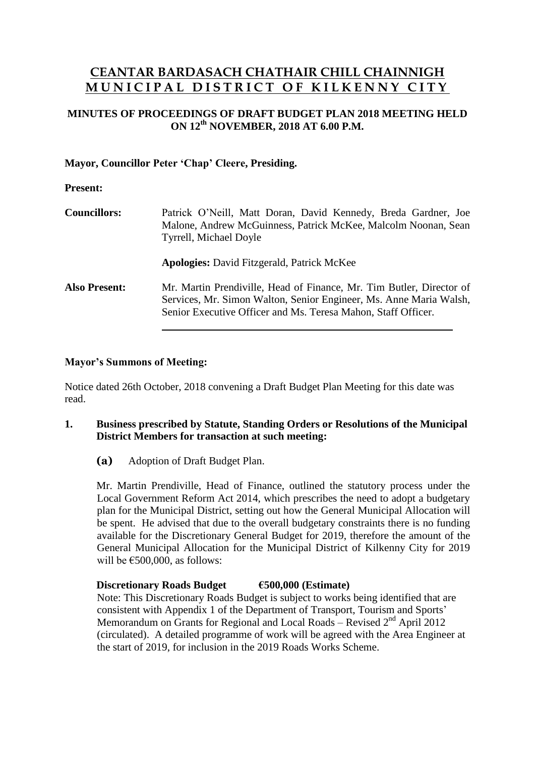# **CEANTAR BARDASACH CHATHAIR CHILL CHAINNIGH M U N I C I P A L D I S T R I C T O F K I L K E N N Y C I T Y**

# **MINUTES OF PROCEEDINGS OF DRAFT BUDGET PLAN 2018 MEETING HELD ON 12 th NOVEMBER, 2018 AT 6.00 P.M.**

# **Mayor, Councillor Peter 'Chap' Cleere, Presiding.**

#### **Present:**

| <b>Councillors:</b>  | Patrick O'Neill, Matt Doran, David Kennedy, Breda Gardner, Joe<br>Malone, Andrew McGuinness, Patrick McKee, Malcolm Noonan, Sean<br><b>Tyrrell, Michael Doyle</b><br><b>Apologies:</b> David Fitzgerald, Patrick McKee |  |
|----------------------|------------------------------------------------------------------------------------------------------------------------------------------------------------------------------------------------------------------------|--|
|                      |                                                                                                                                                                                                                        |  |
| <b>Also Present:</b> | Mr. Martin Prendiville, Head of Finance, Mr. Tim Butler, Director of<br>Services, Mr. Simon Walton, Senior Engineer, Ms. Anne Maria Walsh,<br>Senior Executive Officer and Ms. Teresa Mahon, Staff Officer.            |  |

# **Mayor's Summons of Meeting:**

Notice dated 26th October, 2018 convening a Draft Budget Plan Meeting for this date was read.

#### **1. Business prescribed by Statute, Standing Orders or Resolutions of the Municipal District Members for transaction at such meeting:**

**(a)** Adoption of Draft Budget Plan.

Mr. Martin Prendiville, Head of Finance, outlined the statutory process under the Local Government Reform Act 2014, which prescribes the need to adopt a budgetary plan for the Municipal District, setting out how the General Municipal Allocation will be spent. He advised that due to the overall budgetary constraints there is no funding available for the Discretionary General Budget for 2019, therefore the amount of the General Municipal Allocation for the Municipal District of Kilkenny City for 2019 will be  $€500,000$ , as follows:

# **Discretionary Roads Budget €500,000 (Estimate)**

Note: This Discretionary Roads Budget is subject to works being identified that are consistent with Appendix 1 of the Department of Transport, Tourism and Sports' Memorandum on Grants for Regional and Local Roads – Revised  $2<sup>nd</sup>$  April 2012 (circulated). A detailed programme of work will be agreed with the Area Engineer at the start of 2019, for inclusion in the 2019 Roads Works Scheme.